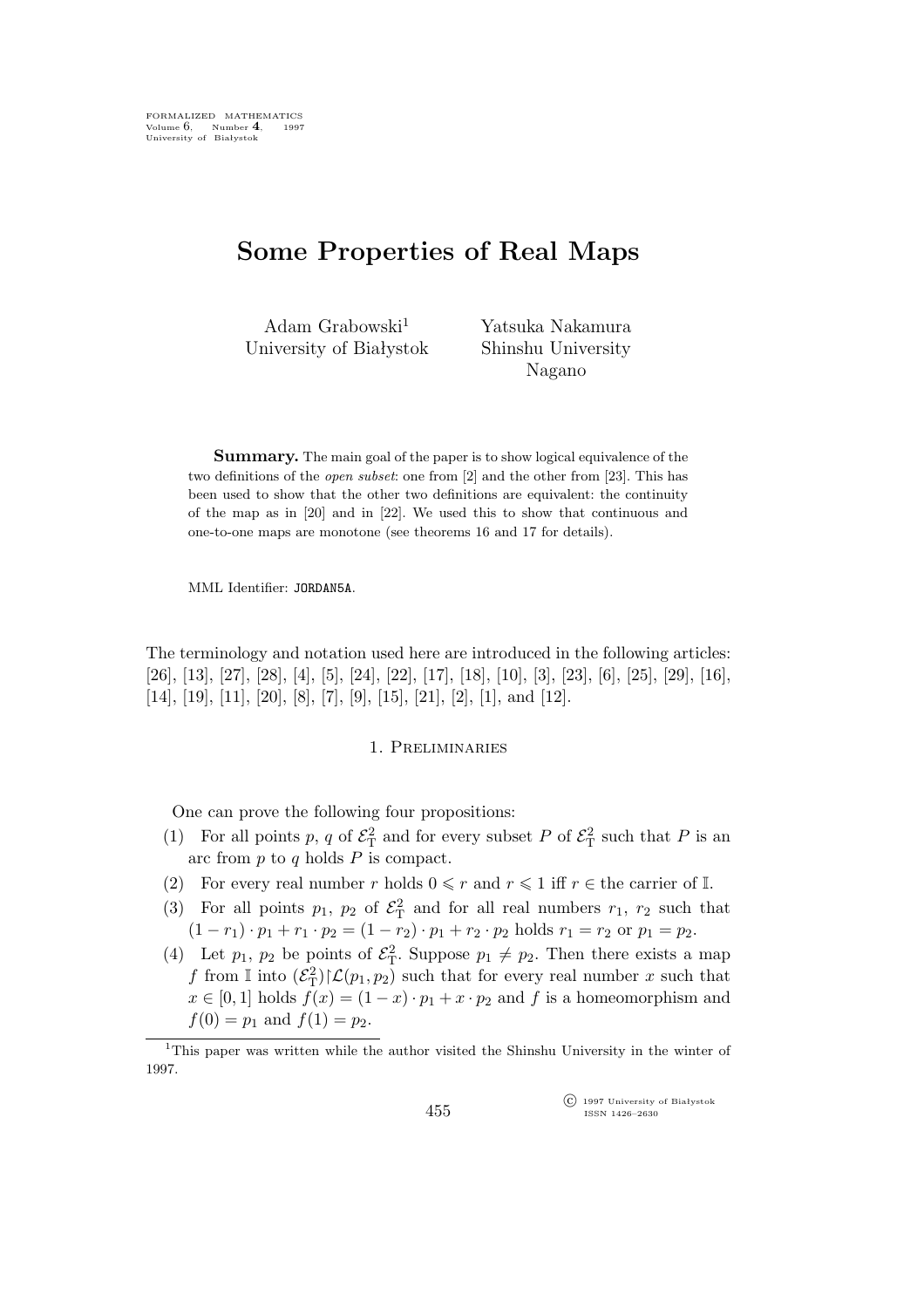# **Some Properties of Real Maps**

Adam Grabowski<sup>1</sup> University of Białystok Yatsuka Nakamura Shinshu University Nagano

**Summary.** The main goal of the paper is to show logical equivalence of the two definitions of the *open subset*: one from [2] and the other from [23]. This has been used to show that the other two definitions are equivalent: the continuity of the map as in [20] and in [22]. We used this to show that continuous and one-to-one maps are monotone (see theorems 16 and 17 for details).

MML Identifier: JORDAN5A.

The terminology and notation used here are introduced in the following articles: [26], [13], [27], [28], [4], [5], [24], [22], [17], [18], [10], [3], [23], [6], [25], [29], [16], [14], [19], [11], [20], [8], [7], [9], [15], [21], [2], [1], and [12].

## 1. Preliminaries

One can prove the following four propositions:

- (1) For all points p, q of  $\mathcal{E}_{\rm T}^2$  and for every subset P of  $\mathcal{E}_{\rm T}^2$  such that P is an arc from  $p$  to  $q$  holds  $P$  is compact.
- (2) For every real number r holds  $0 \leq r$  and  $r \leq 1$  iff  $r \in$  the carrier of I.
- (3) For all points  $p_1$ ,  $p_2$  of  $\mathcal{E}_T^2$  and for all real numbers  $r_1$ ,  $r_2$  such that  $(1 - r_1) \cdot p_1 + r_1 \cdot p_2 = (1 - r_2) \cdot p_1 + r_2 \cdot p_2$  holds  $r_1 = r_2$  or  $p_1 = p_2$ .
- (4) Let  $p_1$ ,  $p_2$  be points of  $\mathcal{E}_T^2$ . Suppose  $p_1 \neq p_2$ . Then there exists a map f from  $\mathbb{I}$  into  $(\mathcal{E}_{\mathcal{T}}^2)|\mathcal{L}(p_1, p_2)$  such that for every real number x such that  $x \in [0, 1]$  holds  $f(x) = (1 - x) \cdot p_1 + x \cdot p_2$  and f is a homeomorphism and  $f(0) = p_1$  and  $f(1) = p_2$ .

°c 1997 University of Białystok ISSN 1426–2630

<sup>1</sup>This paper was written while the author visited the Shinshu University in the winter of 1997.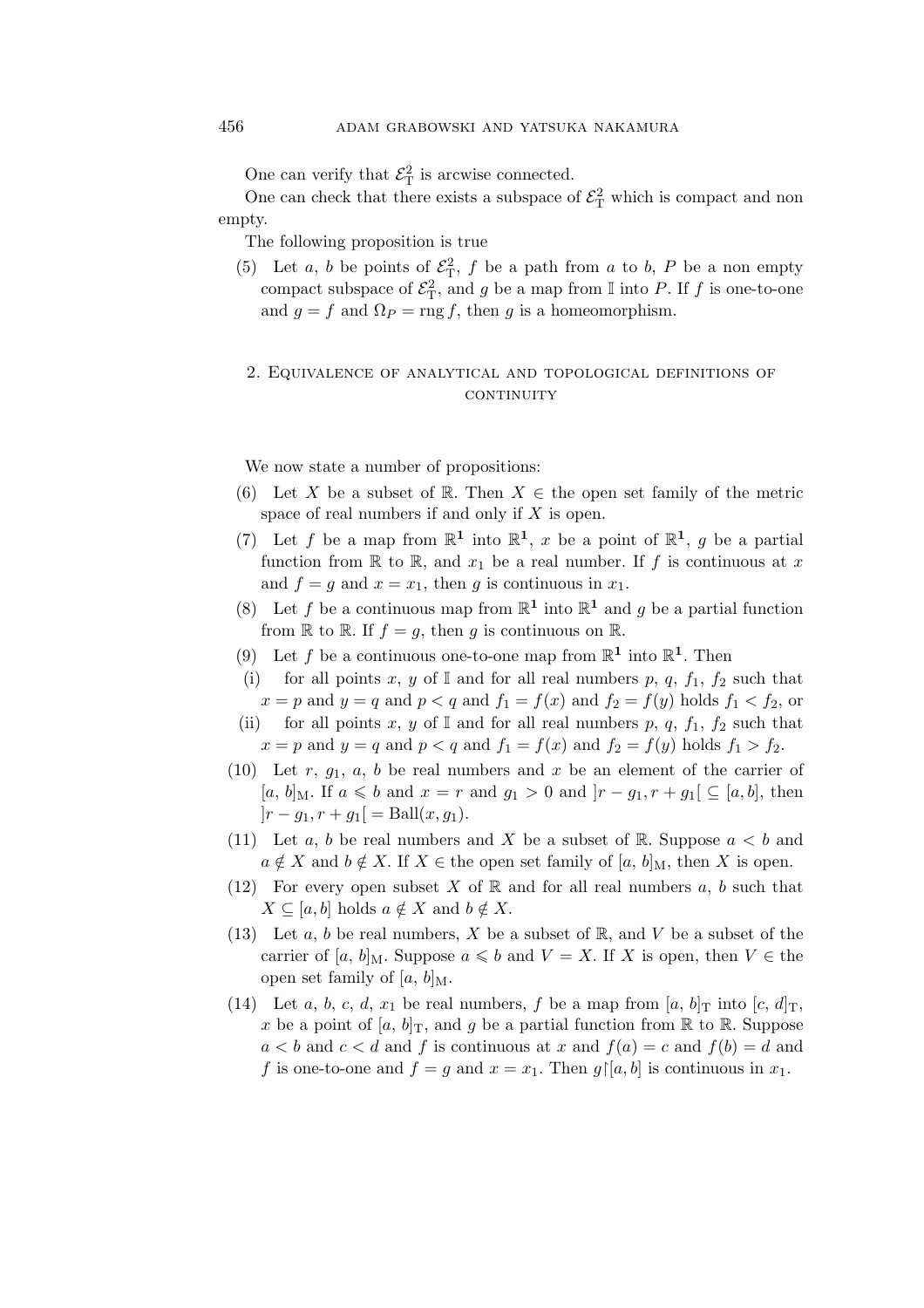One can verify that  $\mathcal{E}_{\mathrm{T}}^2$  is arcwise connected.

One can check that there exists a subspace of  $\mathcal{E}_{\mathrm{T}}^2$  which is compact and non empty.

The following proposition is true

(5) Let a, b be points of  $\mathcal{E}_T^2$ , f be a path from a to b, P be a non empty compact subspace of  $\mathcal{E}_{\rm T}^2$ , and g be a map from I into P. If f is one-to-one and  $g = f$  and  $\Omega_P = \text{rng } f$ , then g is a homeomorphism.

## 2. Equivalence of analytical and topological definitions of **CONTINUITY**

We now state a number of propositions:

- (6) Let X be a subset of R. Then  $X \in$  the open set family of the metric space of real numbers if and only if  $X$  is open.
- (7) Let f be a map from  $\mathbb{R}^1$  into  $\mathbb{R}^1$ , x be a point of  $\mathbb{R}^1$ , g be a partial function from  $\mathbb R$  to  $\mathbb R$ , and  $x_1$  be a real number. If f is continuous at x and  $f = g$  and  $x = x_1$ , then g is continuous in  $x_1$ .
- (8) Let f be a continuous map from  $\mathbb{R}^1$  into  $\mathbb{R}^1$  and g be a partial function from  $\mathbb R$  to  $\mathbb R$ . If  $f = q$ , then q is continuous on  $\mathbb R$ .
- (9) Let f be a continuous one-to-one map from  $\mathbb{R}^1$  into  $\mathbb{R}^1$ . Then
- (i) for all points x, y of I and for all real numbers p, q,  $f_1$ ,  $f_2$  such that  $x = p$  and  $y = q$  and  $p < q$  and  $f_1 = f(x)$  and  $f_2 = f(y)$  holds  $f_1 < f_2$ , or
- (ii) for all points x, y of I and for all real numbers p, q,  $f_1$ ,  $f_2$  such that  $x = p$  and  $y = q$  and  $p < q$  and  $f_1 = f(x)$  and  $f_2 = f(y)$  holds  $f_1 > f_2$ .
- (10) Let r,  $q_1$ , a, b be real numbers and x be an element of the carrier of [a, b]<sub>M</sub>. If a ≤ b and  $x = r$  and  $g_1 > 0$  and  $|r - g_1, r + g_1|$  ⊆ [a, b], then  $|r - g_1, r + g_1| = \text{Ball}(x, g_1).$
- (11) Let a, b be real numbers and X be a subset of R. Suppose  $a < b$  and  $a \notin X$  and  $b \notin X$ . If  $X \in$  the open set family of [a, b]<sub>M</sub>, then X is open.
- (12) For every open subset X of  $\mathbb R$  and for all real numbers a, b such that  $X \subseteq [a, b]$  holds  $a \notin X$  and  $b \notin X$ .
- (13) Let a, b be real numbers, X be a subset of  $\mathbb{R}$ , and V be a subset of the carrier of [a, b]<sub>M</sub>. Suppose  $a \leq b$  and  $V = X$ . If X is open, then  $V \in$  the open set family of [a, b] $_{\rm M}$ .
- (14) Let a, b, c, d,  $x_1$  be real numbers, f be a map from [a, b]<sub>T</sub> into [c, d]<sub>T</sub>, x be a point of  $[a, b]_T$ , and g be a partial function from  $\mathbb R$  to  $\mathbb R$ . Suppose  $a < b$  and  $c < d$  and f is continuous at x and  $f(a) = c$  and  $f(b) = d$  and f is one-to-one and  $f = g$  and  $x = x_1$ . Then  $g \upharpoonright [a, b]$  is continuous in  $x_1$ .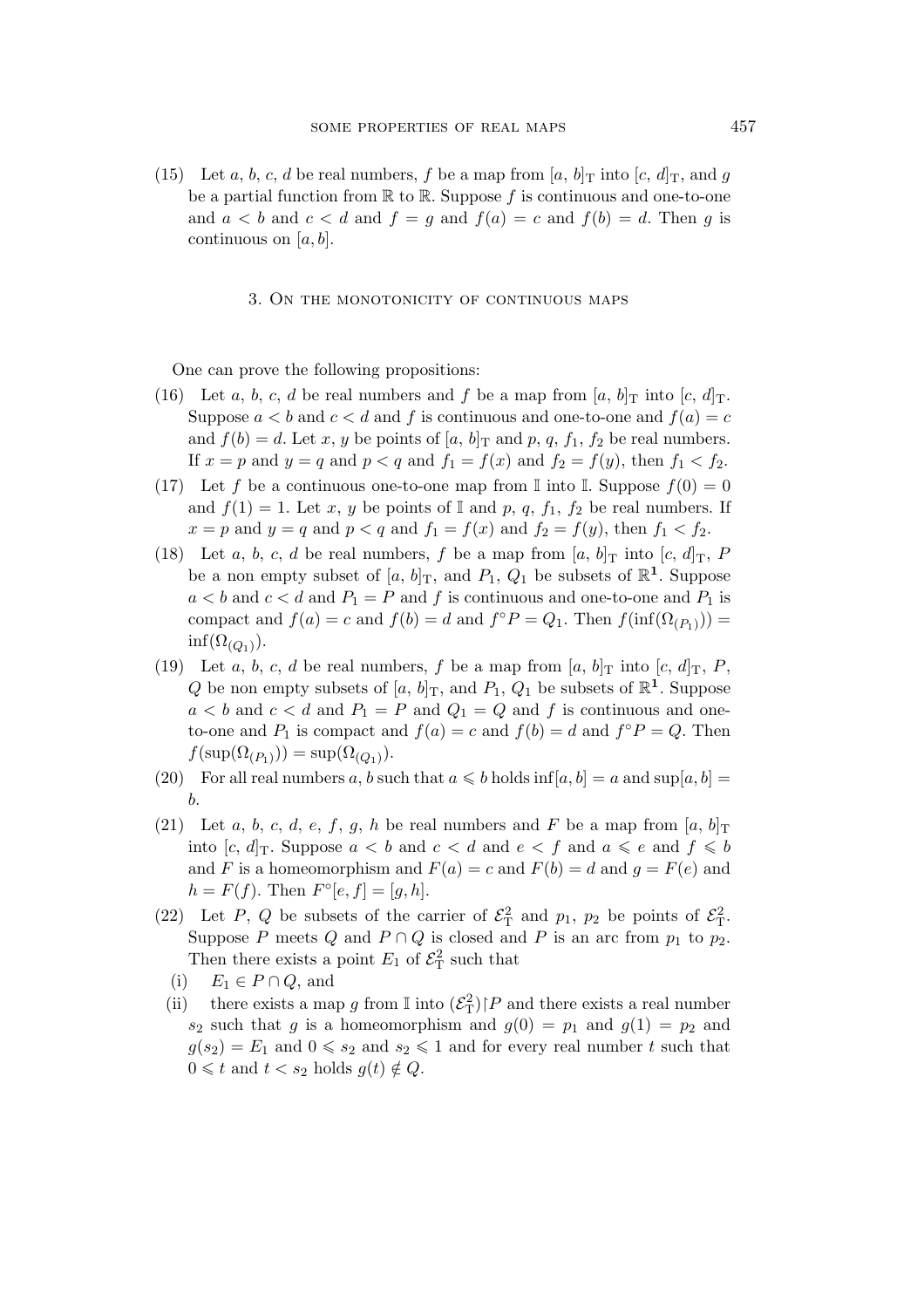(15) Let a, b, c, d be real numbers, f be a map from  $[a, b]_T$  into  $[c, d]_T$ , and g be a partial function from  $\mathbb R$  to  $\mathbb R$ . Suppose f is continuous and one-to-one and  $a < b$  and  $c < d$  and  $f = g$  and  $f(a) = c$  and  $f(b) = d$ . Then g is continuous on  $[a, b]$ .

### 3. On the monotonicity of continuous maps

One can prove the following propositions:

- (16) Let a, b, c, d be real numbers and f be a map from  $[a, b]_T$  into  $[c, d]_T$ . Suppose  $a < b$  and  $c < d$  and f is continuous and one-to-one and  $f(a) = c$ and  $f(b) = d$ . Let x, y be points of [a, b]<sub>T</sub> and p, q, f<sub>1</sub>, f<sub>2</sub> be real numbers. If  $x = p$  and  $y = q$  and  $p < q$  and  $f_1 = f(x)$  and  $f_2 = f(y)$ , then  $f_1 < f_2$ .
- (17) Let f be a continuous one-to-one map from I into I. Suppose  $f(0) = 0$ and  $f(1) = 1$ . Let x, y be points of I and p, q,  $f_1$ ,  $f_2$  be real numbers. If  $x = p$  and  $y = q$  and  $p < q$  and  $f_1 = f(x)$  and  $f_2 = f(y)$ , then  $f_1 < f_2$ .
- (18) Let a, b, c, d be real numbers, f be a map from  $[a, b]_T$  into  $[c, d]_T$ , P be a non empty subset of  $[a, b]_T$ , and  $P_1$ ,  $Q_1$  be subsets of  $\mathbb{R}^1$ . Suppose  $a < b$  and  $c < d$  and  $P_1 = P$  and f is continuous and one-to-one and  $P_1$  is compact and  $f(a) = c$  and  $f(b) = d$  and  $f \circ P = Q_1$ . Then  $f(\inf(\Omega_{(P_1)})) =$  $\inf(\Omega_{(Q_1)})$ .
- (19) Let a, b, c, d be real numbers, f be a map from  $[a, b]_T$  into  $[c, d]_T$ , P, Q be non empty subsets of  $[a, b]$ <sub>T</sub>, and  $P_1$ ,  $Q_1$  be subsets of  $\mathbb{R}^1$ . Suppose  $a < b$  and  $c < d$  and  $P_1 = P$  and  $Q_1 = Q$  and f is continuous and oneto-one and  $P_1$  is compact and  $f(a) = c$  and  $f(b) = d$  and  $f \circ P = Q$ . Then  $f(\text{sup}(\Omega_{(P_1)})) = \text{sup}(\Omega_{(Q_1)}).$
- (20) For all real numbers a, b such that  $a \leq b$  holds inf[a, b] = a and sup[a, b] = b.
- (21) Let a, b, c, d, e, f, g, h be real numbers and F be a map from  $[a, b]_T$ into  $[c, d]_T$ . Suppose  $a < b$  and  $c < d$  and  $e < f$  and  $a \leqslant e$  and  $f \leqslant b$ and F is a homeomorphism and  $F(a) = c$  and  $F(b) = d$  and  $g = F(e)$  and  $h = F(f)$ . Then  $F^{\circ}[e, f] = [g, h]$ .
- (22) Let P, Q be subsets of the carrier of  $\mathcal{E}_{\rm T}^2$  and  $p_1$ ,  $p_2$  be points of  $\mathcal{E}_{\rm T}^2$ . Suppose P meets Q and  $P \cap Q$  is closed and P is an arc from  $p_1$  to  $p_2$ . Then there exists a point  $E_1$  of  $\mathcal{E}_T^2$  such that
- (i)  $E_1 \in P \cap Q$ , and
- (ii) there exists a map g from  $\mathbb{I}$  into  $(\mathcal{E}_{\mathbb{T}}^2)$  | P and there exists a real number  $s_2$  such that g is a homeomorphism and  $g(0) = p_1$  and  $g(1) = p_2$  and  $g(s_2) = E_1$  and  $0 \le s_2$  and  $s_2 \le 1$  and for every real number t such that  $0 \leq t$  and  $t < s_2$  holds  $q(t) \notin Q$ .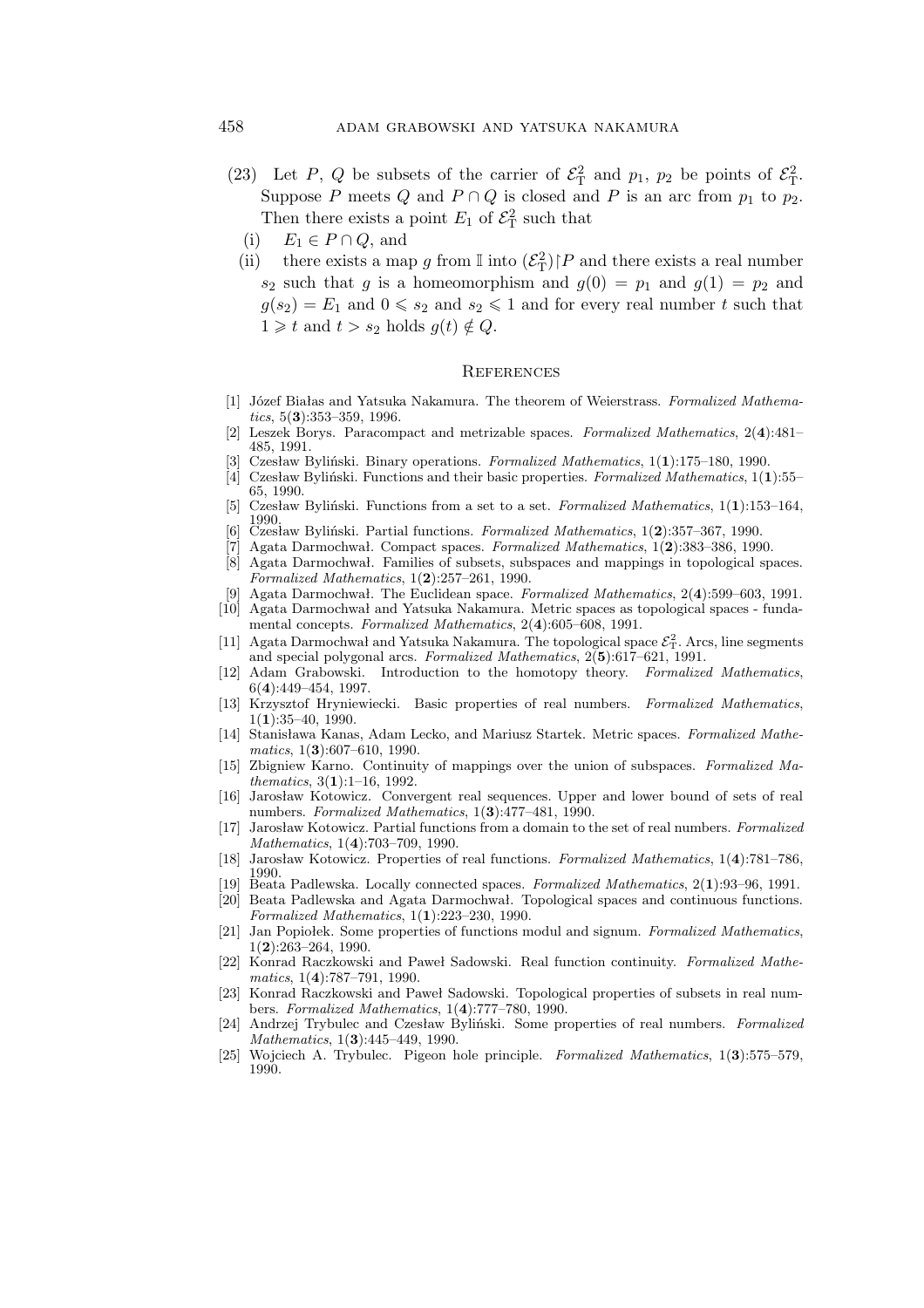- (23) Let P, Q be subsets of the carrier of  $\mathcal{E}_{\rm T}^2$  and  $p_1$ ,  $p_2$  be points of  $\mathcal{E}_{\rm T}^2$ . Suppose P meets Q and  $P \cap Q$  is closed and P is an arc from  $p_1$  to  $p_2$ . Then there exists a point  $E_1$  of  $\mathcal{E}_T^2$  such that
	- (i)  $E_1 \in P \cap Q$ , and
	- (ii) there exists a map g from I into  $(\mathcal{E}_T^2) \upharpoonright P$  and there exists a real number  $s_2$  such that g is a homeomorphism and  $g(0) = p_1$  and  $g(1) = p_2$  and  $g(s_2) = E_1$  and  $0 \le s_2$  and  $s_2 \le 1$  and for every real number t such that  $1 \geq t$  and  $t > s_2$  holds  $g(t) \notin Q$ .

#### **REFERENCES**

- [1] Józef Białas and Yatsuka Nakamura. The theorem of Weierstrass. *Formalized Mathematics*, 5(**3**):353–359, 1996.
- [2] Leszek Borys. Paracompact and metrizable spaces. *Formalized Mathematics*, 2(**4**):481– 485, 1991.
- [3] Czesław Byliński. Binary operations. *Formalized Mathematics*, 1(**1**):175–180, 1990.
- [4] Czesław Byliński. Functions and their basic properties. *Formalized Mathematics*, 1(**1**):55– 65, 1990.
- [5] Czesław Byliński. Functions from a set to a set. *Formalized Mathematics*, 1(**1**):153–164, 1990.
- [6] Czesław Byliński. Partial functions. *Formalized Mathematics*, 1(**2**):357–367, 1990.
- [7] Agata Darmochwał. Compact spaces. *Formalized Mathematics*, 1(**2**):383–386, 1990. [8] Agata Darmochwał. Families of subsets, subspaces and mappings in topological spaces. *Formalized Mathematics*, 1(**2**):257–261, 1990.
- [9] Agata Darmochwał. The Euclidean space. *Formalized Mathematics*, 2(**4**):599–603, 1991. [10] Agata Darmochwał and Yatsuka Nakamura. Metric spaces as topological spaces - funda-
- mental concepts. *Formalized Mathematics*, 2(**4**):605–608, 1991. [11] Agata Darmochwał and Yatsuka Nakamura. The topological space  $\mathcal{E}_T^2$ . Arcs, line segments
- and special polygonal arcs. *Formalized Mathematics*, 2(**5**):617–621, 1991. [12] Adam Grabowski. Introduction to the homotopy theory. *Formalized Mathematics*, 6(**4**):449–454, 1997.
- [13] Krzysztof Hryniewiecki. Basic properties of real numbers. *Formalized Mathematics*, 1(**1**):35–40, 1990.
- [14] Stanisława Kanas, Adam Lecko, and Mariusz Startek. Metric spaces. *Formalized Mathematics*, 1(**3**):607–610, 1990.
- [15] Zbigniew Karno. Continuity of mappings over the union of subspaces. *Formalized Mathematics*, 3(**1**):1–16, 1992.
- [16] Jarosław Kotowicz. Convergent real sequences. Upper and lower bound of sets of real numbers. *Formalized Mathematics*, 1(**3**):477–481, 1990.
- [17] Jarosław Kotowicz. Partial functions from a domain to the set of real numbers. *Formalized Mathematics*, 1(**4**):703–709, 1990.
- [18] Jarosław Kotowicz. Properties of real functions. *Formalized Mathematics*, 1(**4**):781–786, 1990.
- [19] Beata Padlewska. Locally connected spaces. *Formalized Mathematics*, 2(**1**):93–96, 1991.
- [20] Beata Padlewska and Agata Darmochwał. Topological spaces and continuous functions. *Formalized Mathematics*, 1(**1**):223–230, 1990.
- [21] Jan Popiołek. Some properties of functions modul and signum. *Formalized Mathematics*, 1(**2**):263–264, 1990.
- [22] Konrad Raczkowski and Paweł Sadowski. Real function continuity. *Formalized Mathematics*, 1(**4**):787–791, 1990.
- [23] Konrad Raczkowski and Paweł Sadowski. Topological properties of subsets in real numbers. *Formalized Mathematics*, 1(**4**):777–780, 1990.
- [24] Andrzej Trybulec and Czesław Byliński. Some properties of real numbers. *Formalized Mathematics*, 1(**3**):445–449, 1990.
- [25] Wojciech A. Trybulec. Pigeon hole principle. *Formalized Mathematics*, 1(**3**):575–579, 1990.